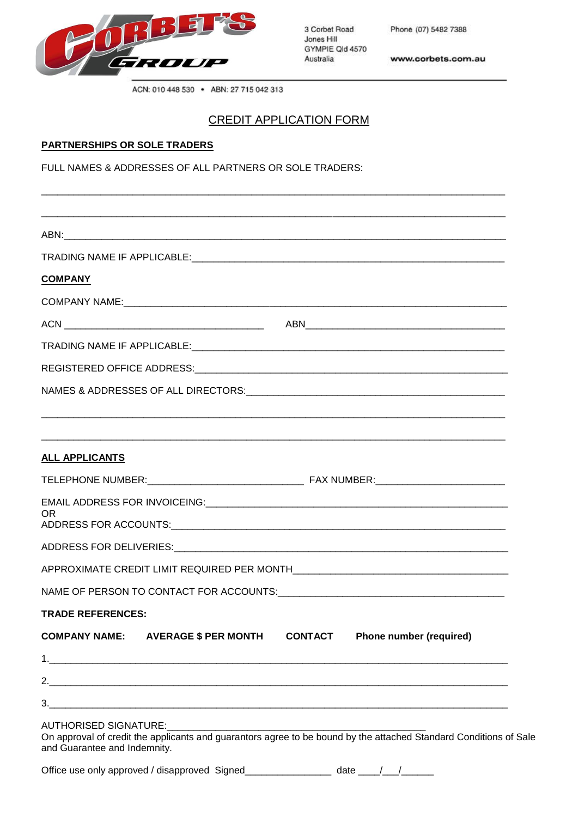

3 Corbet Road Jones Hill GYMPIE Qld 4570 Australia

Phone (07) 5482 7388

www.corbets.com.au

ACN: 010 448 530 . ABN: 27 715 042 313

## CREDIT APPLICATION FORM

\_\_\_\_\_\_\_\_\_\_\_\_\_\_\_\_\_\_\_\_\_\_\_\_\_\_\_\_\_\_\_\_\_\_\_\_\_\_\_\_\_\_\_\_\_\_\_\_\_\_\_\_\_\_\_\_\_\_\_\_\_\_\_\_\_\_\_\_\_\_\_\_\_\_\_\_\_\_\_\_\_\_\_\_\_\_

#### **PARTNERSHIPS OR SOLE TRADERS**

FULL NAMES & ADDRESSES OF ALL PARTNERS OR SOLE TRADERS:

| <b>COMPANY</b>               |                                                                                                                   |  |  |
|------------------------------|-------------------------------------------------------------------------------------------------------------------|--|--|
|                              |                                                                                                                   |  |  |
|                              |                                                                                                                   |  |  |
|                              |                                                                                                                   |  |  |
|                              |                                                                                                                   |  |  |
|                              |                                                                                                                   |  |  |
|                              |                                                                                                                   |  |  |
|                              |                                                                                                                   |  |  |
| <b>ALL APPLICANTS</b>        |                                                                                                                   |  |  |
|                              |                                                                                                                   |  |  |
|                              |                                                                                                                   |  |  |
| 0R                           |                                                                                                                   |  |  |
|                              |                                                                                                                   |  |  |
|                              |                                                                                                                   |  |  |
|                              |                                                                                                                   |  |  |
| <b>TRADE REFERENCES:</b>     |                                                                                                                   |  |  |
|                              | COMPANY NAME: AVERAGE \$ PER MONTH CONTACT Phone number (required)                                                |  |  |
|                              |                                                                                                                   |  |  |
|                              |                                                                                                                   |  |  |
|                              |                                                                                                                   |  |  |
| and Guarantee and Indemnity. | On approval of credit the applicants and guarantors agree to be bound by the attached Standard Conditions of Sale |  |  |
|                              | Office use only approved / disapproved Signed_________________ date ____/___/_____                                |  |  |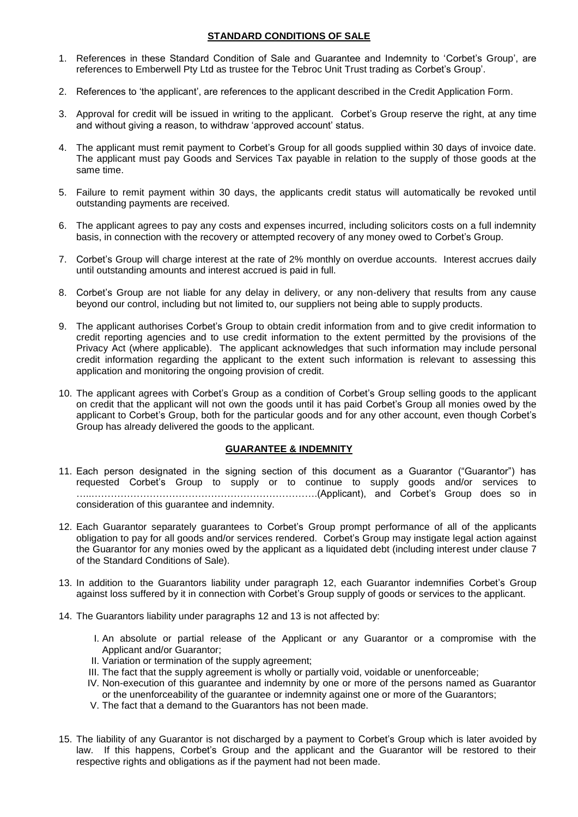### **STANDARD CONDITIONS OF SALE**

- 1. References in these Standard Condition of Sale and Guarantee and Indemnity to 'Corbet's Group', are references to Emberwell Pty Ltd as trustee for the Tebroc Unit Trust trading as Corbet's Group'.
- 2. References to 'the applicant', are references to the applicant described in the Credit Application Form.
- 3. Approval for credit will be issued in writing to the applicant. Corbet's Group reserve the right, at any time and without giving a reason, to withdraw 'approved account' status.
- 4. The applicant must remit payment to Corbet's Group for all goods supplied within 30 days of invoice date. The applicant must pay Goods and Services Tax payable in relation to the supply of those goods at the same time.
- 5. Failure to remit payment within 30 days, the applicants credit status will automatically be revoked until outstanding payments are received.
- 6. The applicant agrees to pay any costs and expenses incurred, including solicitors costs on a full indemnity basis, in connection with the recovery or attempted recovery of any money owed to Corbet's Group.
- 7. Corbet's Group will charge interest at the rate of 2% monthly on overdue accounts. Interest accrues daily until outstanding amounts and interest accrued is paid in full.
- 8. Corbet's Group are not liable for any delay in delivery, or any non-delivery that results from any cause beyond our control, including but not limited to, our suppliers not being able to supply products.
- 9. The applicant authorises Corbet's Group to obtain credit information from and to give credit information to credit reporting agencies and to use credit information to the extent permitted by the provisions of the Privacy Act (where applicable). The applicant acknowledges that such information may include personal credit information regarding the applicant to the extent such information is relevant to assessing this application and monitoring the ongoing provision of credit.
- 10. The applicant agrees with Corbet's Group as a condition of Corbet's Group selling goods to the applicant on credit that the applicant will not own the goods until it has paid Corbet's Group all monies owed by the applicant to Corbet's Group, both for the particular goods and for any other account, even though Corbet's Group has already delivered the goods to the applicant.

### **GUARANTEE & INDEMNITY**

- 11. Each person designated in the signing section of this document as a Guarantor ("Guarantor") has requested Corbet's Group to supply or to continue to supply goods and/or services to …..…………………………………………………………….(Applicant), and Corbet's Group does so in consideration of this guarantee and indemnity.
- 12. Each Guarantor separately guarantees to Corbet's Group prompt performance of all of the applicants obligation to pay for all goods and/or services rendered. Corbet's Group may instigate legal action against the Guarantor for any monies owed by the applicant as a liquidated debt (including interest under clause 7 of the Standard Conditions of Sale).
- 13. In addition to the Guarantors liability under paragraph 12, each Guarantor indemnifies Corbet's Group against loss suffered by it in connection with Corbet's Group supply of goods or services to the applicant.
- 14. The Guarantors liability under paragraphs 12 and 13 is not affected by:
	- I. An absolute or partial release of the Applicant or any Guarantor or a compromise with the Applicant and/or Guarantor;
	- II. Variation or termination of the supply agreement;
	- III. The fact that the supply agreement is wholly or partially void, voidable or unenforceable;
	- IV. Non-execution of this guarantee and indemnity by one or more of the persons named as Guarantor or the unenforceability of the guarantee or indemnity against one or more of the Guarantors;
	- V. The fact that a demand to the Guarantors has not been made.
- 15. The liability of any Guarantor is not discharged by a payment to Corbet's Group which is later avoided by law. If this happens, Corbet's Group and the applicant and the Guarantor will be restored to their respective rights and obligations as if the payment had not been made.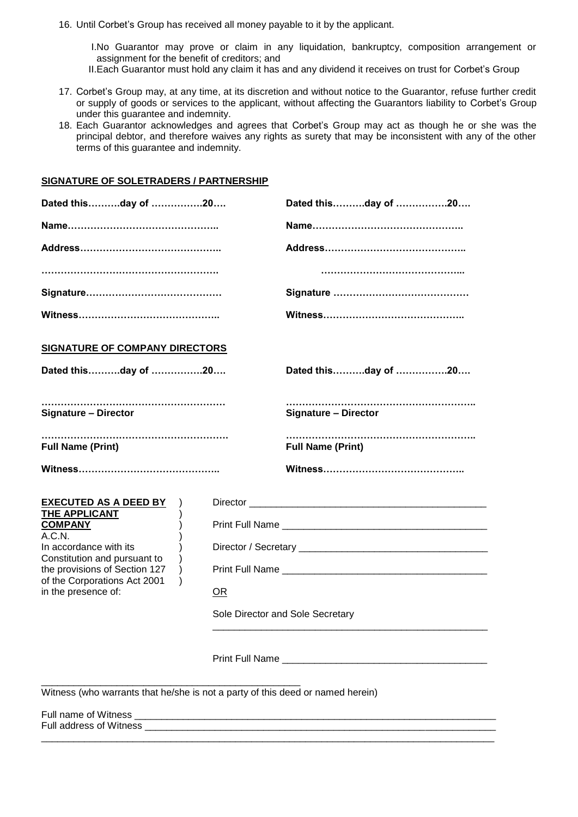16. Until Corbet's Group has received all money payable to it by the applicant.

I.No Guarantor may prove or claim in any liquidation, bankruptcy, composition arrangement or assignment for the benefit of creditors; and

- II.Each Guarantor must hold any claim it has and any dividend it receives on trust for Corbet's Group
- 17. Corbet's Group may, at any time, at its discretion and without notice to the Guarantor, refuse further credit or supply of goods or services to the applicant, without affecting the Guarantors liability to Corbet's Group under this guarantee and indemnity.
- 18. Each Guarantor acknowledges and agrees that Corbet's Group may act as though he or she was the principal debtor, and therefore waives any rights as surety that may be inconsistent with any of the other terms of this guarantee and indemnity.

#### **SIGNATURE OF SOLETRADERS / PARTNERSHIP**

| Dated thisday of 20                                                            |  |                                  | Dated thisday of 20         |  |
|--------------------------------------------------------------------------------|--|----------------------------------|-----------------------------|--|
|                                                                                |  |                                  |                             |  |
|                                                                                |  |                                  |                             |  |
|                                                                                |  |                                  |                             |  |
|                                                                                |  |                                  |                             |  |
|                                                                                |  |                                  |                             |  |
| <b>SIGNATURE OF COMPANY DIRECTORS</b>                                          |  |                                  |                             |  |
| Dated thisday of 20                                                            |  | Dated thisday of 20              |                             |  |
| <b>Signature - Director</b>                                                    |  |                                  | <b>Signature - Director</b> |  |
| <br><b>Full Name (Print)</b>                                                   |  |                                  | <b>Full Name (Print)</b>    |  |
|                                                                                |  |                                  |                             |  |
| <b>EXECUTED AS A DEED BY</b>                                                   |  |                                  |                             |  |
| THE APPLICANT<br><b>COMPANY</b>                                                |  |                                  |                             |  |
| A.C.N.<br>In accordance with its                                               |  |                                  |                             |  |
| Constitution and pursuant to<br>the provisions of Section 127                  |  |                                  |                             |  |
| of the Corporations Act 2001<br>in the presence of:                            |  | <b>OR</b>                        |                             |  |
|                                                                                |  | Sole Director and Sole Secretary |                             |  |
|                                                                                |  |                                  |                             |  |
| Witness (who warrants that he/she is not a party of this deed or named herein) |  |                                  |                             |  |

\_\_\_\_\_\_\_\_\_\_\_\_\_\_\_\_\_\_\_\_\_\_\_\_\_\_\_\_\_\_\_\_\_\_\_\_\_\_\_\_\_\_\_\_\_\_\_\_\_\_\_\_\_\_\_\_\_\_\_\_\_\_\_\_\_\_\_\_\_\_\_\_\_\_\_\_\_\_\_\_\_\_\_\_

Full name of Witness \_ Full address of Witness \_\_\_\_\_\_\_\_\_\_\_\_\_\_\_\_\_\_\_\_\_\_\_\_\_\_\_\_\_\_\_\_\_\_\_\_\_\_\_\_\_\_\_\_\_\_\_\_\_\_\_\_\_\_\_\_\_\_\_\_\_\_\_\_\_